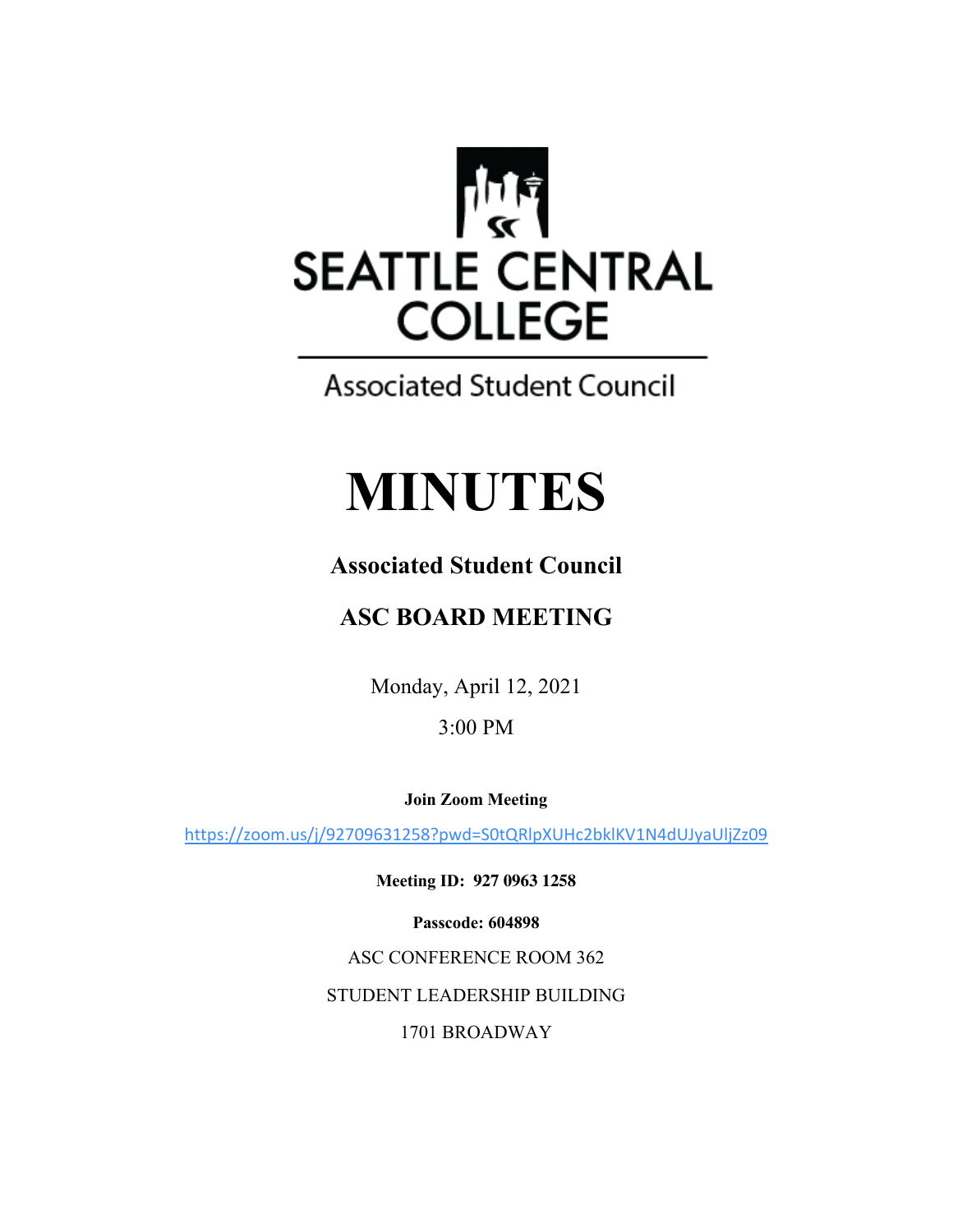

## **Associated Student Council**

# **MINUTES**

## **Associated Student Council**

## **ASC BOARD MEETING**

Monday, April 12, 2021

3:00 PM

**Join Zoom Meeting**

https://zoom.us/j/92709631258?pwd=S0tQRlpXUHc2bklKV1N4dUJyaUljZz09

**Meeting ID: 927 0963 1258**

**Passcode: 604898**

ASC CONFERENCE ROOM 362

STUDENT LEADERSHIP BUILDING

1701 BROADWAY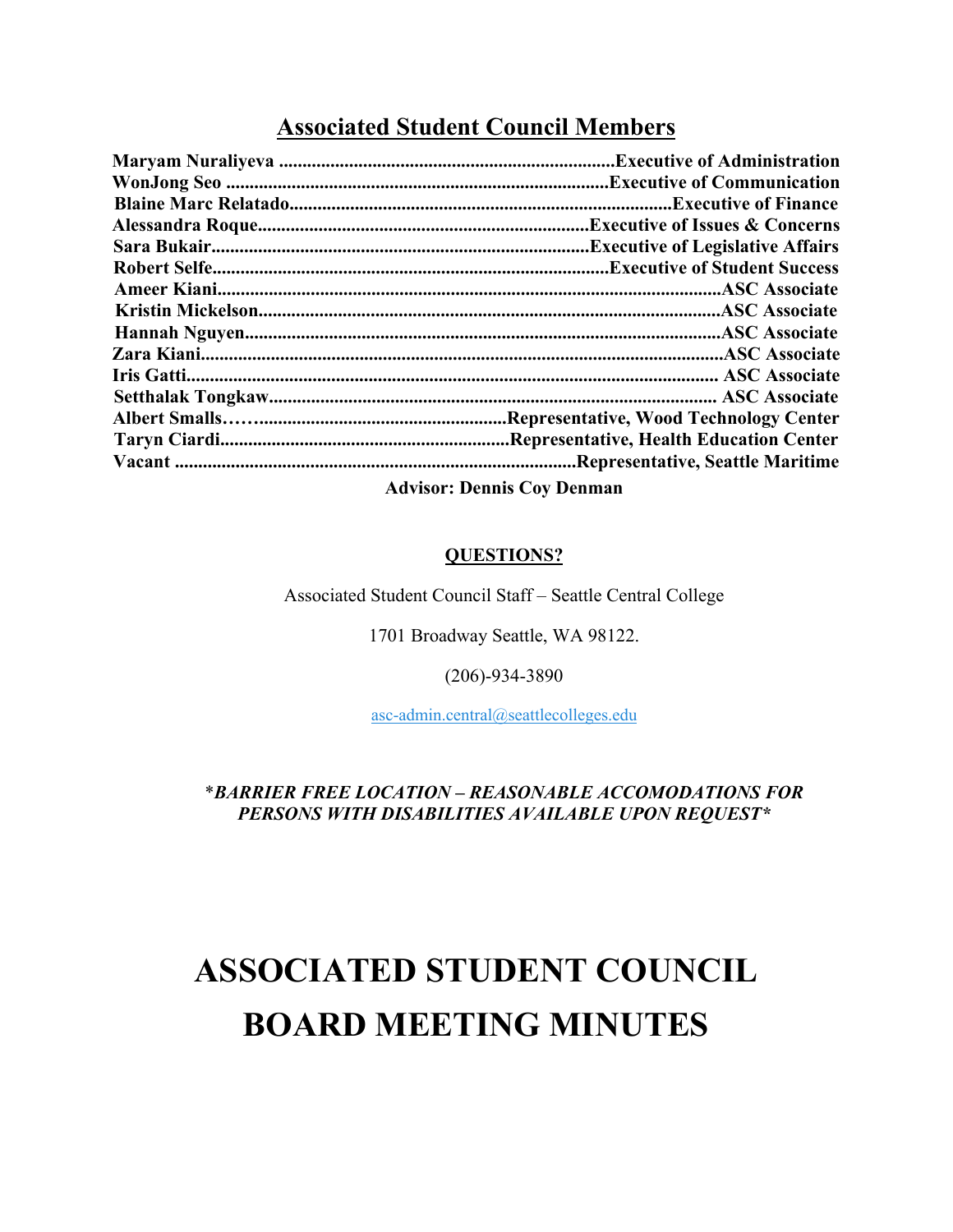### **Associated Student Council Members**

|                                   | <b>Executive of Finance.</b>      |
|-----------------------------------|-----------------------------------|
|                                   |                                   |
|                                   |                                   |
|                                   |                                   |
|                                   |                                   |
|                                   |                                   |
|                                   |                                   |
|                                   |                                   |
|                                   |                                   |
|                                   |                                   |
|                                   |                                   |
|                                   |                                   |
|                                   | .Representative, Seattle Maritime |
| <b>Advisor: Dennis Coy Denman</b> |                                   |

#### **QUESTIONS?**

Associated Student Council Staff – Seattle Central College

1701 Broadway Seattle, WA 98122.

(206)-934-3890

asc-admin.central@seattlecolleges.edu

#### \**BARRIER FREE LOCATION – REASONABLE ACCOMODATIONS FOR PERSONS WITH DISABILITIES AVAILABLE UPON REQUEST\**

## **ASSOCIATED STUDENT COUNCIL BOARD MEETING MINUTES**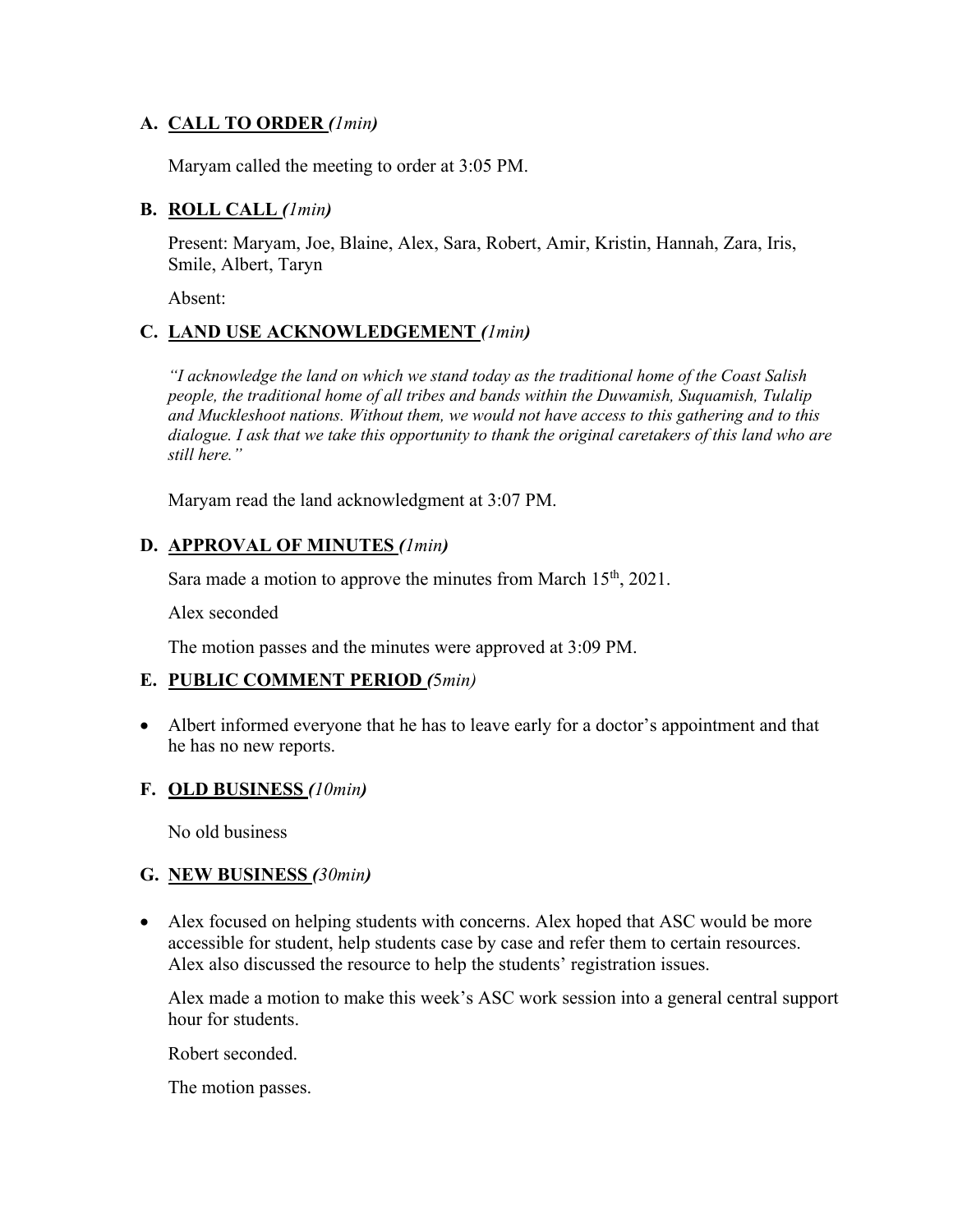#### **A. CALL TO ORDER** *(1min)*

Maryam called the meeting to order at 3:05 PM.

#### **B. ROLL CALL** *(1min)*

Present: Maryam, Joe, Blaine, Alex, Sara, Robert, Amir, Kristin, Hannah, Zara, Iris, Smile, Albert, Taryn

Absent:

#### **C. LAND USE ACKNOWLEDGEMENT** *(1min)*

*"I acknowledge the land on which we stand today as the traditional home of the Coast Salish people, the traditional home of all tribes and bands within the Duwamish, Suquamish, Tulalip and Muckleshoot nations. Without them, we would not have access to this gathering and to this dialogue. I ask that we take this opportunity to thank the original caretakers of this land who are still here."*

Maryam read the land acknowledgment at 3:07 PM.

#### **D. APPROVAL OF MINUTES** *(1min)*

Sara made a motion to approve the minutes from March  $15<sup>th</sup>$ , 2021.

Alex seconded

The motion passes and the minutes were approved at 3:09 PM.

#### **E. PUBLIC COMMENT PERIOD** *(*5*min)*

• Albert informed everyone that he has to leave early for a doctor's appointment and that he has no new reports.

#### **F. OLD BUSINESS** *(10min)*

No old business

#### **G. NEW BUSINESS** *(30min)*

• Alex focused on helping students with concerns. Alex hoped that ASC would be more accessible for student, help students case by case and refer them to certain resources. Alex also discussed the resource to help the students' registration issues.

Alex made a motion to make this week's ASC work session into a general central support hour for students.

Robert seconded.

The motion passes.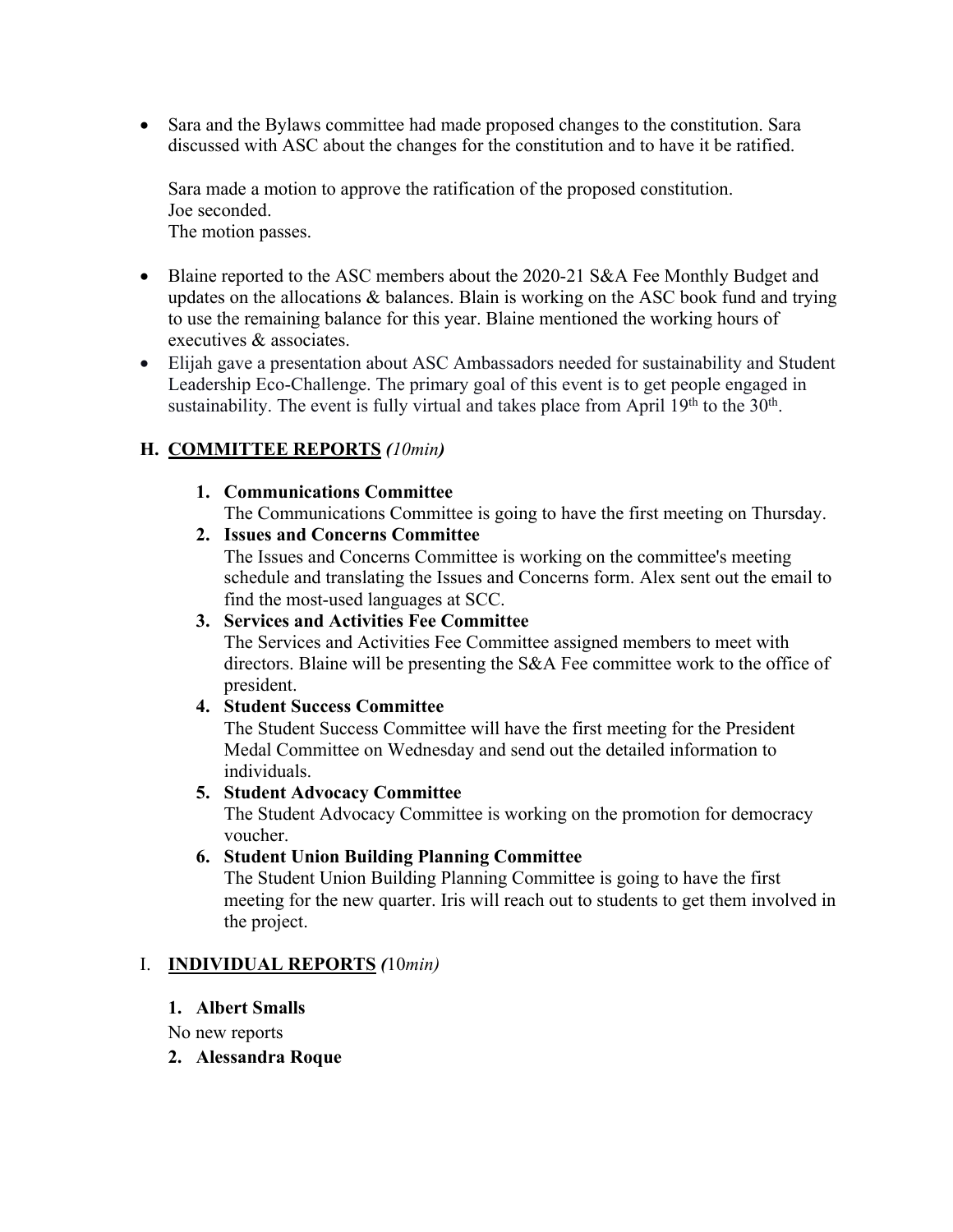• Sara and the Bylaws committee had made proposed changes to the constitution. Sara discussed with ASC about the changes for the constitution and to have it be ratified.

Sara made a motion to approve the ratification of the proposed constitution. Joe seconded. The motion passes.

- Blaine reported to the ASC members about the 2020-21 S&A Fee Monthly Budget and updates on the allocations & balances. Blain is working on the ASC book fund and trying to use the remaining balance for this year. Blaine mentioned the working hours of executives & associates.
- Elijah gave a presentation about ASC Ambassadors needed for sustainability and Student Leadership Eco-Challenge. The primary goal of this event is to get people engaged in sustainability. The event is fully virtual and takes place from April  $19<sup>th</sup>$  to the  $30<sup>th</sup>$ .

#### **H. COMMITTEE REPORTS** *(10min)*

#### **1. Communications Committee**

The Communications Committee is going to have the first meeting on Thursday.

**2. Issues and Concerns Committee**

The Issues and Concerns Committee is working on the committee's meeting schedule and translating the Issues and Concerns form. Alex sent out the email to find the most-used languages at SCC.

#### **3. Services and Activities Fee Committee**

The Services and Activities Fee Committee assigned members to meet with directors. Blaine will be presenting the S&A Fee committee work to the office of president.

#### **4. Student Success Committee**

The Student Success Committee will have the first meeting for the President Medal Committee on Wednesday and send out the detailed information to individuals.

#### **5. Student Advocacy Committee**

The Student Advocacy Committee is working on the promotion for democracy voucher.

#### **6. Student Union Building Planning Committee**

The Student Union Building Planning Committee is going to have the first meeting for the new quarter. Iris will reach out to students to get them involved in the project.

#### I. **INDIVIDUAL REPORTS** *(*10*min)*

#### **1. Albert Smalls**

No new reports

#### **2. Alessandra Roque**